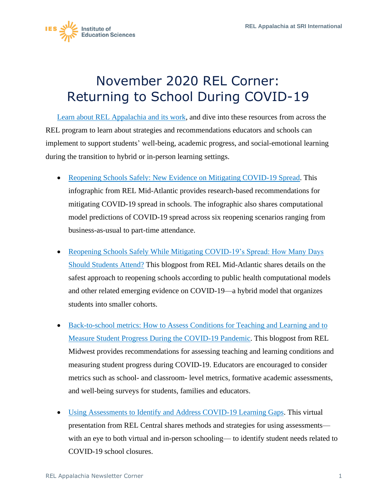

## November 2020 REL Corner: Returning to School During COVID-19

[Learn about REL Appalachia and its work,](https://ies.ed.gov/ncee/edlabs/regions/appalachia/) and dive into these resources from across the REL program to learn about strategies and recommendations educators and schools can implement to support students' well-being, academic progress, and social-emotional learning during the transition to hybrid or in-person learning settings.

- [Reopening Schools Safely: New Evidence on Mitigating COVID-19 Spread.](https://ies.ed.gov/ncee/edlabs/regions/midatlantic/app/Docs/Infographics/RELMA_Re-opening_Schools%20Infographic_508.pdf) This infographic from REL Mid-Atlantic provides research-based recommendations for mitigating COVID-19 spread in schools. The infographic also shares computational model predictions of COVID-19 spread across six reopening scenarios ranging from business-as-usual to part-time attendance.
- Reopening Schools Safely While Mitigating COVID-19's Spread: How Many Days [Should Students Attend?](https://ies.ed.gov/ncee/edlabs/regions/midatlantic/app/Blog/Post/1035) This blogpost from REL Mid-Atlantic shares details on the safest approach to reopening schools according to public health computational models and other related emerging evidence on COVID-19—a hybrid model that organizes students into smaller cohorts.
- Back-to-school metrics: How to Assess Conditions for Teaching and Learning and to [Measure Student Progress During the COVID-19 Pandemic.](https://ies.ed.gov/ncee/edlabs/regions/midwest/blogs/back-to-school-metrics-covid.aspx) This blogpost from REL Midwest provides recommendations for assessing teaching and learning conditions and measuring student progress during COVID-19. Educators are encouraged to consider metrics such as school- and classroom- level metrics, formative academic assessments, and well-being surveys for students, families and educators.
- [Using Assessments to Identify and Address COVID-19 Learning Gaps.](https://ies.ed.gov/ncee/edlabs/regions/central/events/covid-learning-gaps-assessment.asp) This virtual presentation from REL Central shares methods and strategies for using assessments with an eye to both virtual and in-person schooling— to identify student needs related to COVID-19 school closures.